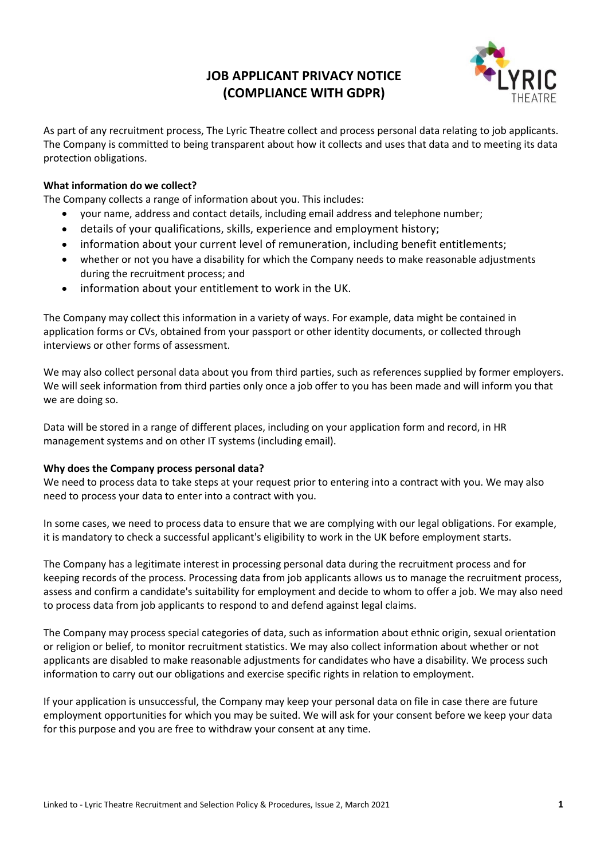# **JOB APPLICANT PRIVACY NOTICE (COMPLIANCE WITH GDPR)**



As part of any recruitment process, The Lyric Theatre collect and process personal data relating to job applicants. The Company is committed to being transparent about how it collects and uses that data and to meeting its data protection obligations.

# **What information do we collect?**

The Company collects a range of information about you. This includes:

- your name, address and contact details, including email address and telephone number;
- details of your qualifications, skills, experience and employment history;
- information about your current level of remuneration, including benefit entitlements;
- whether or not you have a disability for which the Company needs to make reasonable adjustments during the recruitment process; and
- information about your entitlement to work in the UK.

The Company may collect this information in a variety of ways. For example, data might be contained in application forms or CVs, obtained from your passport or other identity documents, or collected through interviews or other forms of assessment.

We may also collect personal data about you from third parties, such as references supplied by former employers. We will seek information from third parties only once a job offer to you has been made and will inform you that we are doing so.

Data will be stored in a range of different places, including on your application form and record, in HR management systems and on other IT systems (including email).

## **Why does the Company process personal data?**

We need to process data to take steps at your request prior to entering into a contract with you. We may also need to process your data to enter into a contract with you.

In some cases, we need to process data to ensure that we are complying with our legal obligations. For example, it is mandatory to check a successful applicant's eligibility to work in the UK before employment starts.

The Company has a legitimate interest in processing personal data during the recruitment process and for keeping records of the process. Processing data from job applicants allows us to manage the recruitment process, assess and confirm a candidate's suitability for employment and decide to whom to offer a job. We may also need to process data from job applicants to respond to and defend against legal claims.

The Company may process special categories of data, such as information about ethnic origin, sexual orientation or religion or belief, to monitor recruitment statistics. We may also collect information about whether or not applicants are disabled to make reasonable adjustments for candidates who have a disability. We process such information to carry out our obligations and exercise specific rights in relation to employment.

If your application is unsuccessful, the Company may keep your personal data on file in case there are future employment opportunities for which you may be suited. We will ask for your consent before we keep your data for this purpose and you are free to withdraw your consent at any time.